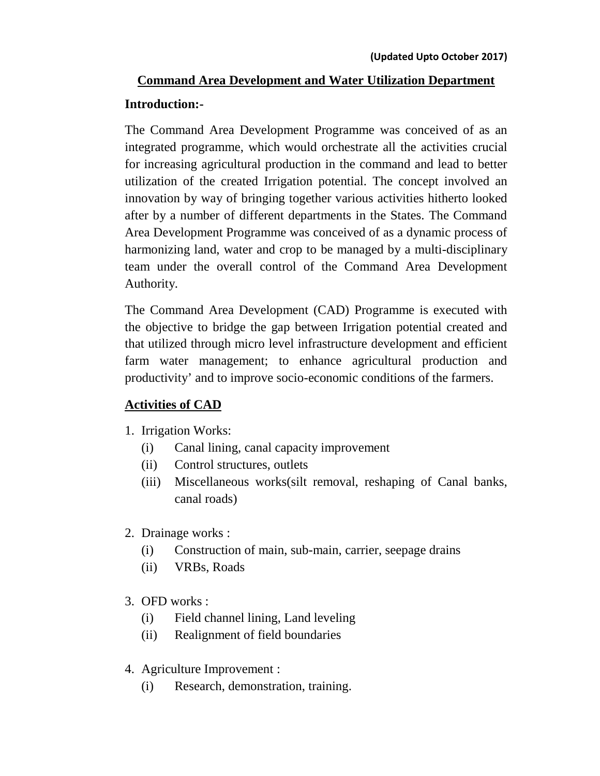# **Command Area Development and Water Utilization Department Introduction:-**

The Command Area Development Programme was conceived of as an integrated programme, which would orchestrate all the activities crucial for increasing agricultural production in the command and lead to better utilization of the created Irrigation potential. The concept involved an innovation by way of bringing together various activities hitherto looked after by a number of different departments in the States. The Command Area Development Programme was conceived of as a dynamic process of harmonizing land, water and crop to be managed by a multi-disciplinary team under the overall control of the Command Area Development Authority.

The Command Area Development (CAD) Programme is executed with the objective to bridge the gap between Irrigation potential created and that utilized through micro level infrastructure development and efficient farm water management; to enhance agricultural production and productivity' and to improve socio-economic conditions of the farmers.

## **Activities of CAD**

- 1. Irrigation Works:
	- (i) Canal lining, canal capacity improvement
	- (ii) Control structures, outlets
	- (iii) Miscellaneous works(silt removal, reshaping of Canal banks, canal roads)
- 2. Drainage works :
	- (i) Construction of main, sub-main, carrier, seepage drains
	- (ii) VRBs, Roads
- 3. OFD works :
	- (i) Field channel lining, Land leveling
	- (ii) Realignment of field boundaries
- 4. Agriculture Improvement :
	- (i) Research, demonstration, training.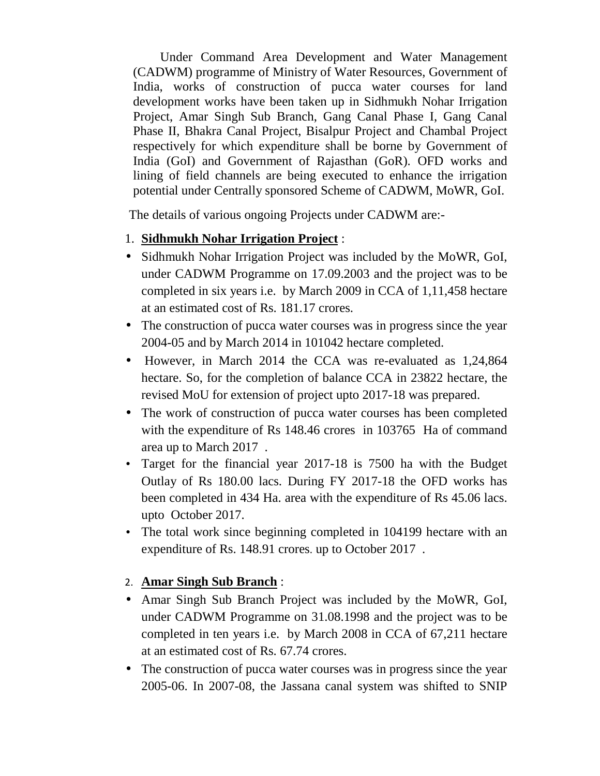Under Command Area Development and Water Management (CADWM) programme of Ministry of Water Resources, Government of India, works of construction of pucca water courses for land development works have been taken up in Sidhmukh Nohar Irrigation Project, Amar Singh Sub Branch, Gang Canal Phase I, Gang Canal Phase II, Bhakra Canal Project, Bisalpur Project and Chambal Project respectively for which expenditure shall be borne by Government of India (GoI) and Government of Rajasthan (GoR). OFD works and lining of field channels are being executed to enhance the irrigation potential under Centrally sponsored Scheme of CADWM, MoWR, GoI.

The details of various ongoing Projects under CADWM are:-

- 1. **Sidhmukh Nohar Irrigation Project** :
- Sidhmukh Nohar Irrigation Project was included by the MoWR, GoI, under CADWM Programme on 17.09.2003 and the project was to be completed in six years i.e. by March 2009 in CCA of 1,11,458 hectare at an estimated cost of Rs. 181.17 crores.
- The construction of pucca water courses was in progress since the year 2004-05 and by March 2014 in 101042 hectare completed.
- However, in March 2014 the CCA was re-evaluated as 1,24,864 hectare. So, for the completion of balance CCA in 23822 hectare, the revised MoU for extension of project upto 2017-18 was prepared.
- The work of construction of pucca water courses has been completed with the expenditure of Rs 148.46 crores in 103765 Ha of command area up to March 2017 .
- Target for the financial year 2017-18 is 7500 ha with the Budget Outlay of Rs 180.00 lacs. During FY 2017-18 the OFD works has been completed in 434 Ha. area with the expenditure of Rs 45.06 lacs. upto October 2017.
- The total work since beginning completed in 104199 hectare with an expenditure of Rs. 148.91 crores. up to October 2017 .

#### 2. **Amar Singh Sub Branch** :

- Amar Singh Sub Branch Project was included by the MoWR, GoI, under CADWM Programme on 31.08.1998 and the project was to be completed in ten years i.e. by March 2008 in CCA of 67,211 hectare at an estimated cost of Rs. 67.74 crores.
- The construction of pucca water courses was in progress since the year 2005-06. In 2007-08, the Jassana canal system was shifted to SNIP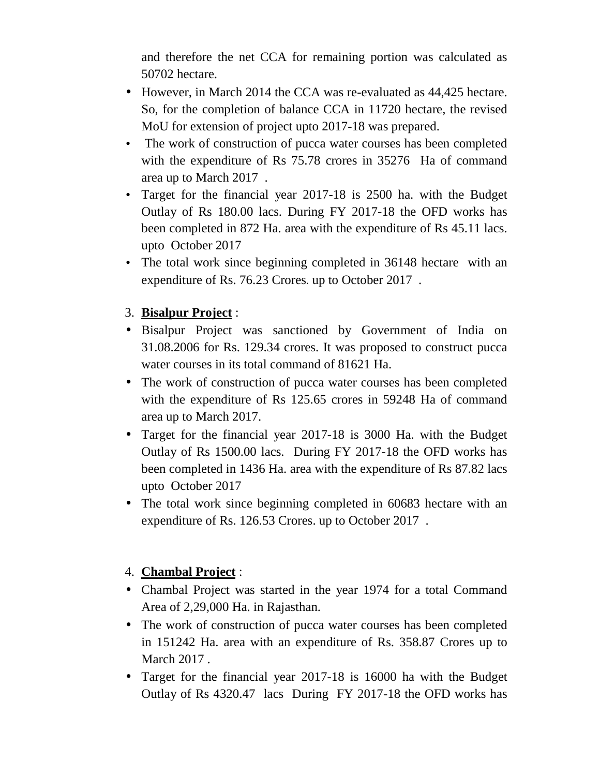and therefore the net CCA for remaining portion was calculated as 50702 hectare.

- However, in March 2014 the CCA was re-evaluated as 44,425 hectare. So, for the completion of balance CCA in 11720 hectare, the revised MoU for extension of project upto 2017-18 was prepared.
- The work of construction of pucca water courses has been completed with the expenditure of Rs 75.78 crores in 35276 Ha of command area up to March 2017 .
- Target for the financial year 2017-18 is 2500 ha. with the Budget Outlay of Rs 180.00 lacs. During FY 2017-18 the OFD works has been completed in 872 Ha. area with the expenditure of Rs 45.11 lacs. upto October 2017
- The total work since beginning completed in 36148 hectare with an expenditure of Rs. 76.23 Crores. up to October 2017 .

## 3. **Bisalpur Project** :

- Bisalpur Project was sanctioned by Government of India on 31.08.2006 for Rs. 129.34 crores. It was proposed to construct pucca water courses in its total command of 81621 Ha.
- The work of construction of pucca water courses has been completed with the expenditure of Rs 125.65 crores in 59248 Ha of command area up to March 2017.
- Target for the financial year 2017-18 is 3000 Ha. with the Budget Outlay of Rs 1500.00 lacs. During FY 2017-18 the OFD works has been completed in 1436 Ha. area with the expenditure of Rs 87.82 lacs upto October 2017
- The total work since beginning completed in 60683 hectare with an expenditure of Rs. 126.53 Crores. up to October 2017 .

## 4. **Chambal Project** :

- Chambal Project was started in the year 1974 for a total Command Area of 2,29,000 Ha. in Rajasthan.
- The work of construction of pucca water courses has been completed in 151242 Ha. area with an expenditure of Rs. 358.87 Crores up to March 2017 .
- Target for the financial year 2017-18 is 16000 ha with the Budget Outlay of Rs 4320.47 lacs During FY 2017-18 the OFD works has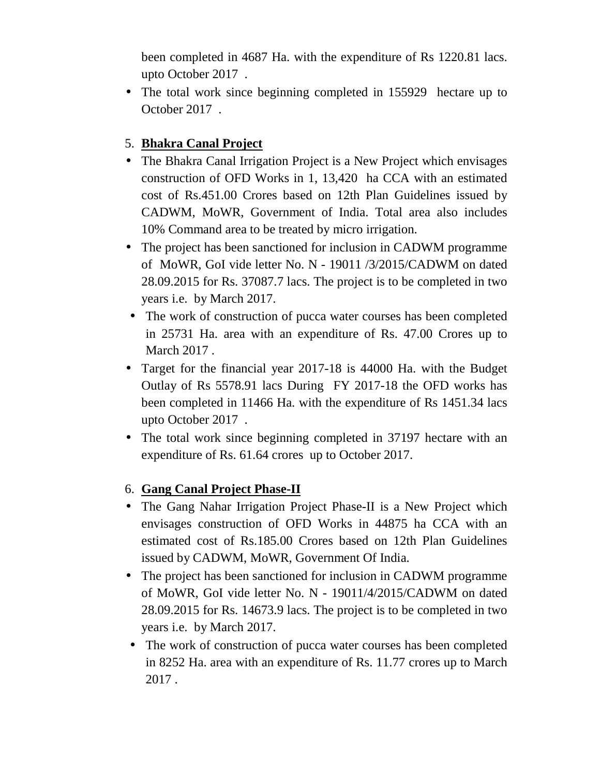been completed in 4687 Ha. with the expenditure of Rs 1220.81 lacs. upto October 2017 .

• The total work since beginning completed in 155929 hectare up to October 2017 .

### 5. **Bhakra Canal Project**

- The Bhakra Canal Irrigation Project is a New Project which envisages construction of OFD Works in 1, 13,420 ha CCA with an estimated cost of Rs.451.00 Crores based on 12th Plan Guidelines issued by CADWM, MoWR, Government of India. Total area also includes 10% Command area to be treated by micro irrigation.
- The project has been sanctioned for inclusion in CADWM programme of MoWR, GoI vide letter No. N - 19011 /3/2015/CADWM on dated 28.09.2015 for Rs. 37087.7 lacs. The project is to be completed in two years i.e. by March 2017.
- The work of construction of pucca water courses has been completed in 25731 Ha. area with an expenditure of Rs. 47.00 Crores up to March 2017 .
- Target for the financial year 2017-18 is 44000 Ha. with the Budget Outlay of Rs 5578.91 lacs During FY 2017-18 the OFD works has been completed in 11466 Ha. with the expenditure of Rs 1451.34 lacs upto October 2017 .
- The total work since beginning completed in 37197 hectare with an expenditure of Rs. 61.64 crores up to October 2017.

#### 6. **Gang Canal Project Phase-II**

- The Gang Nahar Irrigation Project Phase-II is a New Project which envisages construction of OFD Works in 44875 ha CCA with an estimated cost of Rs.185.00 Crores based on 12th Plan Guidelines issued by CADWM, MoWR, Government Of India.
- The project has been sanctioned for inclusion in CADWM programme of MoWR, GoI vide letter No. N - 19011/4/2015/CADWM on dated 28.09.2015 for Rs. 14673.9 lacs. The project is to be completed in two years i.e. by March 2017.
- The work of construction of pucca water courses has been completed in 8252 Ha. area with an expenditure of Rs. 11.77 crores up to March 2017 .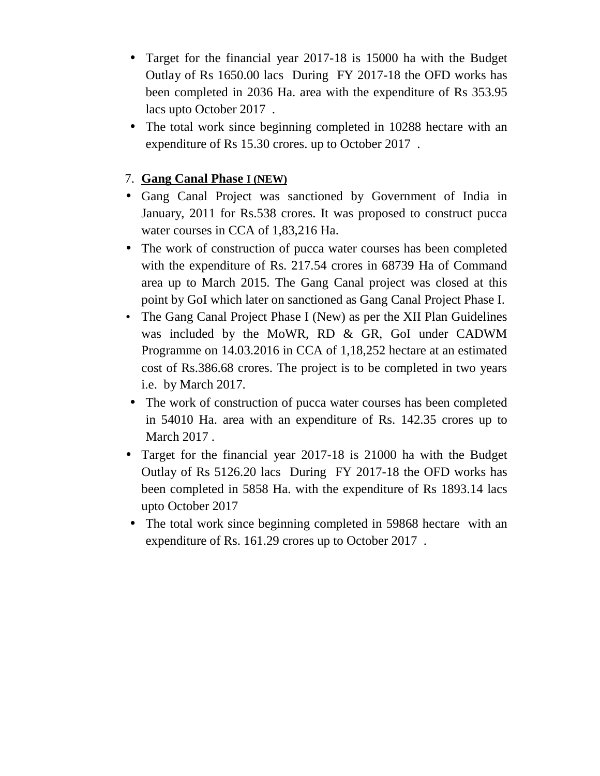- Target for the financial year 2017-18 is 15000 ha with the Budget Outlay of Rs 1650.00 lacs During FY 2017-18 the OFD works has been completed in 2036 Ha. area with the expenditure of Rs 353.95 lacs upto October 2017 .
- The total work since beginning completed in 10288 hectare with an expenditure of Rs 15.30 crores. up to October 2017 .

#### 7. **Gang Canal Phase I (NEW)**

- Gang Canal Project was sanctioned by Government of India in January, 2011 for Rs.538 crores. It was proposed to construct pucca water courses in CCA of 1,83,216 Ha.
- The work of construction of pucca water courses has been completed with the expenditure of Rs. 217.54 crores in 68739 Ha of Command area up to March 2015. The Gang Canal project was closed at this point by GoI which later on sanctioned as Gang Canal Project Phase I.
- The Gang Canal Project Phase I (New) as per the XII Plan Guidelines was included by the MoWR, RD & GR, GoI under CADWM Programme on 14.03.2016 in CCA of 1,18,252 hectare at an estimated cost of Rs.386.68 crores. The project is to be completed in two years i.e. by March 2017.
- The work of construction of pucca water courses has been completed in 54010 Ha. area with an expenditure of Rs. 142.35 crores up to March 2017 .
- Target for the financial year 2017-18 is 21000 ha with the Budget Outlay of Rs 5126.20 lacs During FY 2017-18 the OFD works has been completed in 5858 Ha. with the expenditure of Rs 1893.14 lacs upto October 2017
- The total work since beginning completed in 59868 hectare with an expenditure of Rs. 161.29 crores up to October 2017 .